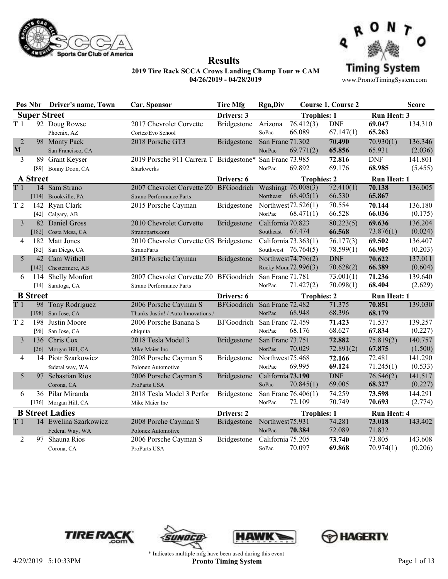



**Results**

www.ProntoTimingSystem.com

|                |                 | Pos Nbr Driver's name, Town               | Car, Sponsor                                                             | <b>Tire Mfg</b>             | <b>Rgn,Div</b>                        |                                            | <b>Course 1, Course 2</b> |                      | <b>Score</b>       |
|----------------|-----------------|-------------------------------------------|--------------------------------------------------------------------------|-----------------------------|---------------------------------------|--------------------------------------------|---------------------------|----------------------|--------------------|
|                |                 | <b>Super Street</b>                       |                                                                          | Drivers: 3                  |                                       | <b>Trophies: 1</b>                         |                           | Run Heat: 3          |                    |
| T <sub>1</sub> |                 | 92 Doug Rowse<br>Phoenix, AZ              | 2017 Chevrolet Corvette<br>Cortez/Evo School                             | Bridgestone                 | Arizona<br>SoPac                      | $\overline{76.412(3)}$<br>66.089           | <b>DNF</b><br>67.147(1)   | 69.047<br>65.263     | 134.310            |
| 2<br>M         |                 | 98 Monty Pack<br>San Francisco, CA        | 2018 Porsche GT3                                                         | Bridgestone                 | San Franc 71.302<br>NorPac            | 69.771(2)                                  | 70.490<br>65.856          | 70.930(1)<br>65.931  | 136.346<br>(2.036) |
| 3              |                 | 89 Grant Keyser<br>[89] Bonny Doon, CA    | 2019 Porsche 911 Carrera T Bridgestone* San Franc 73.985<br>Sharkwerks   |                             | NorPac                                | 69.892                                     | 72.816<br>69.176          | <b>DNF</b><br>68.985 | 141.801<br>(5.455) |
|                | <b>A</b> Street |                                           |                                                                          | Drivers: 6                  |                                       | <b>Trophies: 2</b>                         |                           | <b>Run Heat: 1</b>   |                    |
| T <sub>1</sub> |                 | 14 Sam Strano<br>[114] Brookville, PA     | 2007 Chevrolet Corvette Z0 BFGoodrich<br><b>Strano Performance Parts</b> |                             | Northeast                             | Washingt 76.008(3)<br>68.405(1)            | 72.410(1)<br>66.530       | 70.138<br>65.867     | 136.005            |
| T <sub>2</sub> | 142             | Ryan Clark<br>[42] Calgary, AB            | 2015 Porsche Cayman                                                      | <b>Bridgestone</b>          | NorPac                                | Northwest 72.526(1)<br>68.471(1)           | 70.554<br>66.528          | 70.144<br>66.036     | 136.180<br>(0.175) |
| 3              |                 | 82 Daniel Gross<br>[182] Costa Mesa, CA   | 2010 Chevrolet Corvette<br>Stranoparts.com                               | Bridgestone                 | California 70.823<br>Southeast 67.474 |                                            | 80.223(5)<br>66.568       | 69.636<br>73.876(1)  | 136.204<br>(0.024) |
| 4              |                 | 182 Matt Jones<br>[82] San Diego, CA      | 2010 Chevrolet Corvette GS Bridgestone<br><b>StranoParts</b>             |                             | California 73.363(1)                  | Southwest $76.764(5)$                      | 76.177(3)<br>78.599(1)    | 69.502<br>66.905     | 136.407<br>(0.203) |
| 5              |                 | 42 Cam Withell<br>[142] Chestermere, AB   | 2015 Porsche Cayman                                                      | Bridgestone                 |                                       | Northwest 74.796(2)<br>Rocky Moun72.996(3) | <b>DNF</b><br>70.628(2)   | 70.622<br>66.389     | 137.011<br>(0.604) |
| 6              | 114             | Shelly Monfort<br>[14] Saratoga, CA       | 2007 Chevrolet Corvette Z0 BFGoodrich<br><b>Strano Performance Parts</b> |                             | San Franc 71.781<br>NorPac            | 71.427(2)                                  | 73.001(1)<br>70.098(1)    | 71.236<br>68.404     | 139.640<br>(2.629) |
|                | <b>B</b> Street |                                           |                                                                          | Drivers: 6                  |                                       | <b>Trophies: 2</b>                         |                           | <b>Run Heat: 1</b>   |                    |
| T <sub>1</sub> |                 | 98 Tony Rodriguez<br>[198] San Jose, CA   | 2006 Porsche Cayman S<br>Thanks Justin! / Auto Innovations /             | BFGoodrich San Franc 72.482 | NorPac                                | 68.948                                     | 71.375<br>68.396          | 70.851<br>68.179     | 139.030            |
| T <sub>2</sub> | 198             | Justin Moore<br>[98] San Jose, CA         | 2006 Porsche Banana S<br>chiquita                                        | BFGoodrich                  | San Franc 72.459<br>NorPac            | 68.176                                     | 71.423<br>68.627          | 71.537<br>67.834     | 139.257<br>(0.227) |
| 3              |                 | 136 Chris Cox<br>[36] Morgan Hill, CA     | 2018 Tesla Model 3<br>Mike Maier Inc                                     | Bridgestone                 | San Franc 73.751<br>NorPac            | 70.029                                     | 72.882<br>72.891(2)       | 75.819(2)<br>67.875  | 140.757<br>(1.500) |
| 4              |                 | 14 Piotr Szarkowicz<br>federal way, WA    | 2008 Porsche Cayman S<br>Polonez Automotive                              | Bridgestone                 | Northwest75.468<br>NorPac             | 69.995                                     | 72.166<br>69.124          | 72.481<br>71.245(1)  | 141.290<br>(0.533) |
| 5              |                 | 97 Sebastian Rios<br>Corona, CA           | 2006 Porsche Cayman S<br>ProParts USA                                    | <b>Bridgestone</b>          | California 73.190<br>SoPac            | 70.845(1)                                  | <b>DNF</b><br>69.005      | 76.546(2)<br>68.327  | 141.517<br>(0.227) |
| 6              |                 | 36 Pilar Miranda<br>[136] Morgan Hill, CA | 2018 Tesla Model 3 Perfor<br>Mike Maier Inc                              | <b>Bridgestone</b>          | NorPac                                | San Franc 76.406(1)<br>72.109              | 74.259<br>70.749          | 73.598<br>70.693     | 144.291<br>(2.774) |
|                |                 | <b>B Street Ladies</b>                    |                                                                          | Drivers: 2                  |                                       | <b>Trophies: 1</b>                         |                           | <b>Run Heat: 4</b>   |                    |
| T <sub>1</sub> |                 | 14 Ewelina Szarkowicz<br>Federal Way, WA  | 2008 Porche Cayman S<br>Polonez Automotive                               | Bridgestone                 | Northwest75.931<br>NorPac             | 70.384                                     | 74.281<br>72.089          | 73.018<br>71.832     | 143.402            |
| 2              | 97              | Shauna Rios<br>Corona, CA                 | 2006 Porsche Cayman S<br>ProParts USA                                    | <b>Bridgestone</b>          | California 75.205<br>SoPac            | 70.097                                     | 73.740<br>69.868          | 73.805<br>70.974(1)  | 143.608<br>(0.206) |







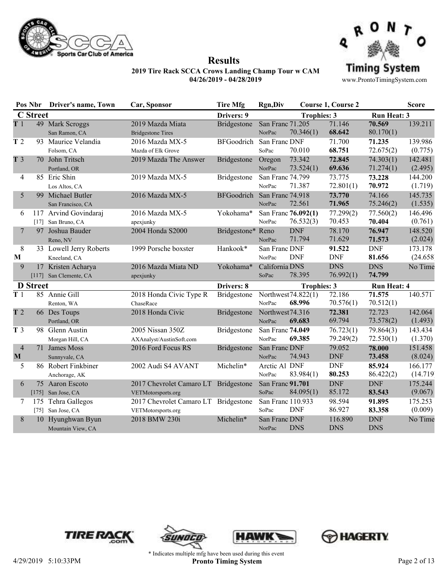



**Results**

|                                | Pos Nbr         | Driver's name, Town                          | Car, Sponsor                                               | <b>Tire Mfg</b>   | <b>Rgn,Div</b>             |                                  | <b>Course 1, Course 2</b> |                          | <b>Score</b>        |
|--------------------------------|-----------------|----------------------------------------------|------------------------------------------------------------|-------------------|----------------------------|----------------------------------|---------------------------|--------------------------|---------------------|
|                                | <b>C</b> Street |                                              |                                                            | Drivers: 9        |                            | <b>Trophies: 3</b>               |                           | <b>Run Heat: 3</b>       |                     |
| T1                             |                 | 49 Mark Scroggs<br>San Ramon, CA             | 2019 Mazda Miata<br><b>Bridgestone Tires</b>               | Bridgestone       | San Franc 71.205<br>NorPac | 70.346(1)                        | 71.146<br>68.642          | 70.569<br>80.170(1)      | 139.211             |
| T <sub>2</sub>                 |                 | 93 Maurice Velandia<br>Folsom, CA            | 2016 Mazda MX-5<br>Mazda of Elk Grove                      | BFGoodrich        | San Franc DNF<br>SoPac     | 70.010                           | 71.700<br>68.751          | 71.235<br>72.675(2)      | 139.986<br>(0.775)  |
| T <sub>3</sub>                 |                 | 70 John Tritsch<br>Portland, OR              | 2019 Mazda The Answer                                      | Bridgestone       | Oregon<br>NorPac           | 73.342<br>73.524(1)              | 72.845<br>69.636          | 74.303(1)<br>71.274(1)   | 142.481<br>(2.495)  |
| 4                              |                 | 85 Eric Shin<br>Los Altos, CA                | 2019 Mazda MX-5                                            | Bridgestone       | San Franc 74.799<br>NorPac | 71.387                           | 73.775<br>72.801(1)       | 73.228<br>70.972         | 144.200<br>(1.719)  |
| 5                              |                 | 99 Michael Butler<br>San Francisco, CA       | 2016 Mazda MX-5                                            | BFGoodrich        | San Franc 74.918<br>NorPac | 72.561                           | 73.770<br>71.965          | 74.166<br>75.246(2)      | 145.735<br>(1.535)  |
| 6                              | $[17]$          | 117 Arvind Govindaraj<br>San Bruno, CA       | 2016 Mazda MX-5<br>apexjunky                               | Yokohama*         | NorPac                     | San Franc 76.092(1)<br>76.532(3) | 77.299(2)<br>70.453       | 77.560(2)<br>70.404      | 146.496<br>(0.761)  |
| 7                              |                 | 97 Joshua Bauder<br>Reno, NV                 | 2004 Honda S2000                                           | Bridgestone* Reno | NorPac                     | <b>DNF</b><br>71.794             | 78.170<br>71.629          | 76.947<br>71.573         | 148.520<br>(2.024)  |
| 8<br>M                         |                 | 33 Lowell Jerry Roberts<br>Kneeland, CA      | 1999 Porsche boxster                                       | Hankook*          | San Franc DNF<br>NorPac    | <b>DNF</b>                       | 91.522<br><b>DNF</b>      | <b>DNF</b><br>81.656     | 173.178<br>(24.658) |
| 9                              |                 | 17 Kristen Acharya<br>[117] San Clemente, CA | 2016 Mazda Miata ND<br>apexjunky                           | Yokohama*         | California DNS<br>SoPac    | 78.395                           | <b>DNS</b><br>76.992(1)   | <b>DNS</b><br>74.799     | No Time             |
|                                | <b>D</b> Street |                                              |                                                            | Drivers: 8        |                            | <b>Trophies: 3</b>               |                           | <b>Run Heat: 4</b>       |                     |
| T <sub>1</sub>                 |                 | 85 Annie Gill<br>Renton, WA                  | 2018 Honda Civic Type R<br>ChaseRace                       | Bridgestone       | NorPac                     | Northwest 74.822(1)<br>68.996    | 72.186<br>70.576(1)       | 71.575<br>70.512(1)      | 140.571             |
| T <sub>2</sub>                 |                 | 66 Des Toups<br>Portland, OR                 | 2018 Honda Civic                                           | Bridgestone       | Northwest74.316<br>NorPac  | 69.683                           | 72.381<br>69.794          | 72.723<br>73.578(2)      | 142.064<br>(1.493)  |
| T <sub>3</sub>                 |                 | 98 Glenn Austin<br>Morgan Hill, CA           | 2005 Nissan 350Z<br>AXAnalyst/AustinSoft.com               | Bridgestone       | San Franc 74.049<br>NorPac | 69.385                           | 76.723(1)<br>79.249(2)    | 79.864(3)<br>72.530(1)   | 143.434<br>(1.370)  |
| $\overline{4}$<br>$\mathbf{M}$ |                 | 71 James Moss<br>Sunnyvale, CA               | 2016 Ford Focus RS                                         | Bridgestone       | San Franc DNF<br>NorPac    | 74.943                           | 79.052<br><b>DNF</b>      | 78.000<br>73.458         | 151.458<br>(8.024)  |
| 5                              |                 | 86 Robert Finkbiner<br>Anchorage, AK         | 2002 Audi S4 AVANT                                         | Michelin*         | Arctic Al DNF<br>NorPac    | 83.984(1)                        | <b>DNF</b><br>80.253      | 85.924<br>86.422(2)      | 166.177<br>(14.719) |
| 6                              |                 | 75 Aaron Escoto<br>[175] San Jose, CA        | 2017 Chevrolet Camaro LT Bridgestone<br>VETMotorsports.org |                   | San Franc 91.701<br>SoPac  | 84.095(1)                        | <b>DNF</b><br>85.172      | <b>DNF</b><br>83.543     | 175.244<br>(9.067)  |
| 7                              |                 | 175 Tehra Gallegos<br>[75] San Jose, CA      | 2017 Chevrolet Camaro LT Bridgestone<br>VETMotorsports.org |                   | San Franc 110.933<br>SoPac | <b>DNF</b>                       | 98.594<br>86.927          | 91.895<br>83.358         | 175.253<br>(0.009)  |
| 8                              |                 | 10 Hyunghwan Byun<br>Mountain View, CA       | 2018 BMW 230i                                              | Michelin*         | San Franc DNF<br>NorPac    | <b>DNS</b>                       | 116.890<br><b>DNS</b>     | <b>DNF</b><br><b>DNS</b> | No Time             |







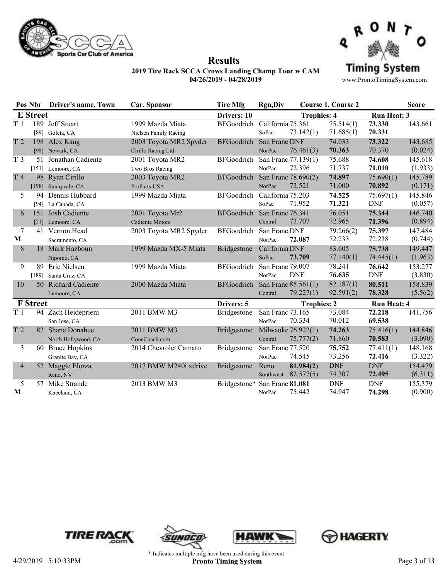



**Results**

|                | Pos Nbr         | Driver's name, Town  | Car, Sponsor           | <b>Tire Mfg</b>               | <b>Rgn,Div</b>    |                       | Course 1, Course 2 |                    | <b>Score</b> |
|----------------|-----------------|----------------------|------------------------|-------------------------------|-------------------|-----------------------|--------------------|--------------------|--------------|
|                | <b>E</b> Street |                      |                        | Drivers: 10                   |                   | <b>Trophies: 4</b>    |                    | <b>Run Heat: 3</b> |              |
| T <sub>1</sub> |                 | 189 Jeff Stuart      | 1999 Mazda Miata       | BFGoodrich                    | California 75.361 |                       | 75.514(1)          | 73.330             | 143.661      |
|                |                 | [89] Goleta, CA      | Nielsen Family Racing  |                               | SoPac             | 73.142(1)             | 71.685(1)          | 70.331             |              |
| T <sub>2</sub> |                 | 198 Alex Kang        | 2003 Toyota MR2 Spyder | <b>BFGoodrich</b>             | San Franc DNF     |                       | 74.033             | 73.322             | 143.685      |
|                |                 | [98] Newark, CA      | Cirillo Racing Ltd.    |                               | NorPac            | 76.461(3)             | 70.363             | 70.370             | (0.024)      |
| T <sub>3</sub> |                 | 51 Jonathan Cadiente | 2001 Toyota MR2        | BFGoodrich                    |                   | San Franc 77.139(1)   | 75.688             | 74.608             | 145.618      |
|                |                 | [151] Lemoore, CA    | Two Bros Racing        |                               | NorPac            | 72.396                | 71.737             | 71.010             | (1.933)      |
| T 4            |                 | 98 Ryan Cirillo      | 2003 Toyota MR2        | <b>BFGoodrich</b>             |                   | San Franc 78.690(2)   | 74.897             | 75.690(1)          | 145.789      |
|                |                 | [198] Sunnyvale, CA  | ProParts USA           |                               | NorPac            | 72.521                | 71.000             | 70.892             | (0.171)      |
| 5              | 94              | Dennis Hubbard       | 1999 Mazda Miata       | <b>BFGoodrich</b>             | California 75.203 |                       | 74.525             | 75.697(1)          | 145.846      |
|                |                 | [94] La Canada, CA   |                        |                               | SoPac             | 71.952                | 71.321             | <b>DNF</b>         | (0.057)      |
| 6              | 151             | Josh Cadiente        | 2001 Toyota Mr2        | <b>BFGoodrich</b>             | San Franc 76.341  |                       | 76.051             | 75.344             | 146.740      |
|                |                 | [51] Lemoore, CA     | <b>Cadiente Motors</b> |                               | Central           | 73.707                | 72.965             | 71.396             | (0.894)      |
| 7              | 41              | Vernon Head          | 2003 Toyota MR2 Spyder | <b>BFGoodrich</b>             | San Franc DNF     |                       | 79.266(2)          | 75.397             | 147.484      |
| M              |                 | Sacramento, CA       |                        |                               | NorPac            | 72.087                | 72.233             | 72.238             | (0.744)      |
| 8              |                 | 18 Mark Hazboun      | 1999 Mazda MX-5 Miata  | Bridgestone                   | California DNF    |                       | 83.605             | 75.738             | 149.447      |
|                |                 | Nipomo, CA           |                        |                               | SoPac             | 73.709                | 77.140(1)          | 74.445(1)          | (1.963)      |
| 9              | 89              | Eric Nielsen         | 1999 Mazda Miata       | <b>BFGoodrich</b>             | San Franc 79.007  |                       | 78.241             | 76.642             | 153.277      |
|                | $[189]$         | Santa Cruz, CA       |                        |                               | NorPac            | <b>DNF</b>            | 76.635             | <b>DNF</b>         | (3.830)      |
| 10             |                 | 50 Richard Cadiente  | 2000 Mazda Miata       | <b>BFGoodrich</b>             |                   | San Franc 85.561(1)   | 82.187(1)          | 80.511             | 158.839      |
|                |                 | Lemoore, CA          |                        |                               | Central           | 79.227(1)             | 92.591(2)          | 78.328             | (5.562)      |
|                | <b>F</b> Street |                      |                        | Drivers: 5                    |                   | <b>Trophies: 2</b>    |                    | <b>Run Heat: 4</b> |              |
| T <sub>1</sub> |                 | 94 Zach Heidepriem   | 2011 BMW M3            | Bridgestone                   | San Franc 73.165  |                       | 73.084             | 72.218             | 141.756      |
|                |                 | San Jose, CA         |                        |                               | NorPac            | 70.334                | 70.012             | 69.538             |              |
| T <sub>2</sub> |                 | 82 Shane Donahue     | 2011 BMW M3            | <b>Bridgestone</b>            |                   | Milwauke 76.922(1)    | 74.263             | 75.416(1)          | 144.846      |
|                |                 | North Hollywood, CA  | ConeCoach.com          |                               | Central           | 75.777(2)             | 71.860             | 70.583             | (3.090)      |
| 3              |                 | 60 Bruce Hopkins     | 2014 Chevrolet Camaro  | <b>Bridgestone</b>            | San Franc 77.520  |                       | 75.752             | 77.411(1)          | 148.168      |
|                |                 | Granite Bay, CA      |                        |                               | NorPac            | 74.545                | 73.256             | 72.416             | (3.322)      |
| $\overline{4}$ | 52              | Maggie Elorza        | 2017 BMW M240i xdrive  | <b>Bridgestone</b>            | Reno              | 81.984(2)             | <b>DNF</b>         | <b>DNF</b>         | 154.479      |
|                |                 | Reno, NV             |                        |                               |                   | Southwest $82.577(5)$ | 74.307             | 72.495             | (6.311)      |
| 5              | 57              | Mike Strande         | 2013 BMW M3            | Bridgestone* San Franc 81.081 |                   |                       | <b>DNF</b>         | <b>DNF</b>         | 155.379      |
| M              |                 | Kneeland, CA         |                        |                               | NorPac            | 75.442                | 74.947             | 74.298             | (0.900)      |







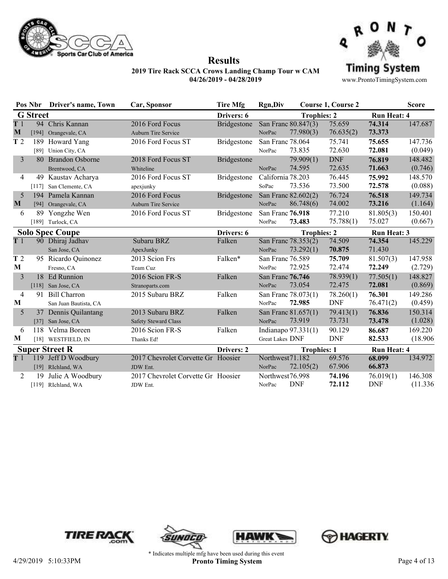



**Results**

|                | Pos Nbr         | <b>Driver's name, Town</b> | Car, Sponsor                       | Tire Mfg           | <b>Rgn,Div</b>    |                     | Course 1, Course 2 |                    | <b>Score</b> |
|----------------|-----------------|----------------------------|------------------------------------|--------------------|-------------------|---------------------|--------------------|--------------------|--------------|
|                | <b>G</b> Street |                            |                                    | Drivers: 6         |                   | <b>Trophies: 2</b>  |                    | <b>Run Heat: 4</b> |              |
| T1             |                 | 94 Chris Kannan            | 2016 Ford Focus                    | Bridgestone        |                   | San Franc 80.847(3) | 75.659             | 74.314             | 147.687      |
| M              | $[194]$         | Orangevale, CA             | <b>Auburn Tire Service</b>         |                    | NorPac            | 77.980(3)           | 76.635(2)          | 73.373             |              |
| T <sub>2</sub> |                 | 189 Howard Yang            | 2016 Ford Focus ST                 | Bridgestone        | San Franc 78.064  |                     | 75.741             | 75.655             | 147.736      |
|                |                 | [89] Union City, CA        |                                    |                    | NorPac            | 73.835              | 72.630             | 72.081             | (0.049)      |
| 3              |                 | 80 Brandon Osborne         | 2018 Ford Focus ST                 | <b>Bridgestone</b> |                   | 79.909(1)           | <b>DNF</b>         | 76.819             | 148.482      |
|                |                 | Brentwood, CA              | Whiteline                          |                    | NorPac            | 74.595              | 72.635             | 71.663             | (0.746)      |
| 4              |                 | 49 Kaustav Acharya         | 2016 Ford Focus ST                 | <b>Bridgestone</b> | California 78.203 |                     | 76.445             | 75.992             | 148.570      |
|                | $[117]$         | San Clemente, CA           | apexjunky                          |                    | SoPac             | 73.536              | 73.500             | 72.578             | (0.088)      |
| 5              |                 | 194 Pamela Kannan          | 2016 Ford Focus                    | <b>Bridgestone</b> |                   | San Franc 82.602(2) | 76.724             | 76.518             | 149.734      |
| M              |                 | [94] Orangevale, CA        | <b>Auburn Tire Service</b>         |                    | NorPac            | 86.748(6)           | 74.002             | 73.216             | (1.164)      |
| 6              | 89              | Yongzhe Wen                | 2016 Ford Focus ST                 | Bridgestone        | San Franc 76.918  |                     | 77.210             | 81.805(3)          | 150.401      |
|                |                 | [189] Turlock, CA          |                                    |                    | NorPac            | 73.483              | 75.788(1)          | 75.027             | (0.667)      |
|                |                 | <b>Solo Spec Coupe</b>     |                                    | Drivers: 6         |                   | <b>Trophies: 2</b>  |                    | Run Heat: 3        |              |
| T1             |                 | 90 Dhiraj Jadhav           | Subaru BRZ                         | Falken             |                   | San Franc 78.353(2) | 74.509             | 74.354             | 145.229      |
|                |                 | San Jose, CA               | ApexJunky                          |                    | NorPac            | 73.292(1)           | 70.875             | 71.430             |              |
| T <sub>2</sub> |                 | 95 Ricardo Quinonez        | 2013 Scion Frs                     | Falken*            | San Franc 76.589  |                     | 75.709             | 81.507(3)          | 147.958      |
| M              |                 | Fresno, CA                 | Team Cuz                           |                    | NorPac            | 72.925              | 72.474             | 72.249             | (2.729)      |
| 3              |                 | 18 Ed Runnion              | 2016 Scion FR-S                    | Falken             | San Franc 76.746  |                     | 78.939(1)          | 77.505(1)          | 148.827      |
|                |                 | [118] San Jose, CA         | Stranoparts.com                    |                    | NorPac            | 73.054              | 72.475             | 72.081             | (0.869)      |
| 4              |                 | 91 Bill Charron            | 2015 Subaru BRZ                    | Falken             |                   | San Franc 78.073(1) | 78.260(1)          | 76.301             | 149.286      |
| M              |                 | San Juan Bautista, CA      |                                    |                    | NorPac            | 72.985              | <b>DNF</b>         | 76.471(2)          | (0.459)      |
| 5              |                 | 37 Dennis Quilantang       | 2013 Subaru BRZ                    | Falken             |                   | San Franc 81.657(1) | 79.413(1)          | 76.836             | 150.314      |
|                |                 | [37] San Jose, CA          | <b>Safety Steward Class</b>        |                    | NorPac            | 73.919              | 73.731             | 73.478             | (1.028)      |
| 6              | 118             | Velma Boreen               | 2016 Scion FR-S                    | Falken             |                   | Indianapo 97.331(1) | 90.129             | 86.687             | 169.220      |
| M              |                 | [18] WESTFIELD, IN         | Thanks Ed!                         |                    | Great Lakes DNF   |                     | <b>DNF</b>         | 82.533             | (18.906)     |
|                |                 | <b>Super Street R</b>      |                                    | Drivers: 2         |                   | <b>Trophies: 1</b>  |                    | <b>Run Heat: 4</b> |              |
| T1             |                 | 119 Jeff D Woodbury        | 2017 Chevrolet Corvette Gr Hoosier |                    | Northwest71.182   |                     | 69.576             | 68.099             | 134.972      |
|                |                 | [19] RIchland, WA          | JDW Ent.                           |                    | NorPac            | 72.105(2)           | 67.906             | 66.873             |              |
| 2              | 19              | Julie A Woodbury           | 2017 Chevrolet Corvette Gr Hoosier |                    | Northwest76.998   |                     | 74.196             | 76.019(1)          | 146.308      |
|                |                 | [119] RIchland, WA         | JDW Ent.                           |                    | NorPac            | <b>DNF</b>          | 72.112             | <b>DNF</b>         | (11.336)     |







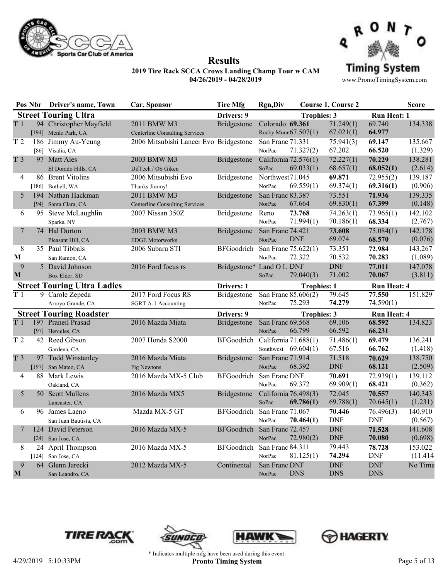



**Results**

www.ProntoTimingSystem.com

|                 | Pos Nbr Driver's name, Town        | Car, Sponsor                           | <b>Tire Mfg</b>             | <b>Rgn,Div</b>         |                       | Course 1, Course 2 |                             | <b>Score</b> |
|-----------------|------------------------------------|----------------------------------------|-----------------------------|------------------------|-----------------------|--------------------|-----------------------------|--------------|
|                 | <b>Street Touring Ultra</b>        |                                        | Drivers: 9                  |                        | <b>Trophies: 3</b>    |                    | <b>Run Heat: 1</b>          |              |
| T1              | 94 Christopher Mayfield            | 2011 BMW M3                            | Bridgestone                 | Colorado 69.361        |                       | 71.249(1)          | 69.740                      | 134.338      |
|                 | [194] Menlo Park, CA               | <b>Centerline Consulting Services</b>  |                             | Rocky Moun67.507(1)    |                       | 67.021(1)          | 64.977                      |              |
| T <sub>2</sub>  | 186 Jimmy Au-Yeung                 | 2006 Mitsubishi Lancer Evo Bridgestone |                             | San Franc 71.331       |                       | 75.941(3)          | 69.147                      | 135.667      |
|                 | [86] Visalia, CA                   |                                        |                             | NorPac                 | 71.327(2)             | 67.202             | 66.520                      | (1.329)      |
| T <sub>3</sub>  | 97 Matt Ales                       | 2003 BMW M3                            | Bridgestone                 | California 72.576(1)   |                       | 72.227(1)          | 70.229                      | 138.281      |
|                 | El Dorado Hills, CA                | DifTech / OS Giken                     |                             | SoPac                  | 69.033(1)             | 68.657(1)          | 68.052(1)                   | (2.614)      |
| 4               | 86 Brent Vitolins                  | 2006 Mitsubishi Evo                    | Bridgestone                 | Northwest71.045        |                       | 69.871             | 72.955(2)                   | 139.187      |
|                 | [186] Bothell, WA                  | Thanks Jimmy!                          |                             | NorPac                 | 69.559(1)             | 69.374(1)          | 69.316(1)                   | (0.906)      |
| 5               | 194 Nathan Hackman                 | 2011 BMW M3                            | Bridgestone                 | San Franc 83.387       |                       | 73.551             | 71.936                      | 139.335      |
|                 | [94] Santa Clara, CA               | <b>Centerline Consulting Services</b>  |                             | NorPac                 | 67.664                | 69.830(1)          | 67.399                      | (0.148)      |
| 6               | 95 Steve McLaughlin                | 2007 Nissan 350Z                       | Bridgestone                 | Reno                   | 73.768                | 74.263(1)          | 73.965(1)                   | 142.102      |
|                 | Sparks, NV                         |                                        |                             | NorPac                 | 71.994(1)             | 70.186(1)          | 68.334                      | (2.767)      |
| 7               | 74 Hal Dorton                      | 2003 BMW M3                            | Bridgestone                 | San Franc 74.421       |                       | 73.608             | 75.084(1)                   | 142.178      |
|                 | Pleasant Hill, CA                  | <b>EDGE Motorworks</b>                 |                             | NorPac                 | <b>DNF</b>            | 69.074             | 68.570                      | (0.076)      |
| 8               | 35 Paul Tibbals                    | 2006 Subaru STI                        | BFGoodrich                  | San Franc 75.622(1)    |                       | 73.351             | 72.984                      | 143.267      |
| $\mathbf{M}$    | San Ramon, CA                      |                                        |                             | NorPac                 | 72.322                | 70.532             | 70.283                      | (1.089)      |
| 9               | 5 David Johnson                    | 2016 Ford focus rs                     | Bridgestone* Land O L DNF   |                        |                       | <b>DNF</b>         | 77.011                      | 147.078      |
| $\mathbf M$     | Box Elder, SD                      |                                        |                             | SoPac                  | 79.040(3)             | 71.002             | 70.067                      | (3.811)      |
|                 | <b>Street Touring Ultra Ladies</b> |                                        | Drivers: 1                  |                        | <b>Trophies: 1</b>    |                    | <b>Run Heat: 4</b>          |              |
| $\overline{T}1$ | 9 Carole Zepeda                    | 2017 Ford Focus RS                     | Bridgestone                 | San Franc 85.606(2)    |                       | 79.645             | 77.550                      | 151.829      |
|                 | Arroyo Grande, CA                  | SGRT A-1 Accounting                    |                             | NorPac                 | 75.293                | 74.279             | 74.590(1)                   |              |
|                 | <b>Street Touring Roadster</b>     |                                        | Drivers: 9                  |                        | <b>Trophies: 3</b>    |                    | <b>Run Heat: 4</b>          |              |
| T <sub>1</sub>  | 197 Praneil Prasad                 | 2016 Mazda Miata                       | Bridgestone                 | San Franc 69.568       |                       | 69.106             | 68.592                      | 134.823      |
|                 | [97] Hercules, CA                  |                                        |                             | NorPac                 | 66.799                | 66.592             | 66.231                      |              |
| T 2             | 42 Reed Gibson                     | 2007 Honda S2000                       | BFGoodrich                  | California 71.688(1)   |                       | 71.486(1)          | 69.479                      | 136.241      |
|                 | Gardena, CA                        |                                        |                             |                        | Southwest $69.604(1)$ | 67.516             | 66.762                      | (1.418)      |
| T <sub>3</sub>  | 97 Todd Winstanley                 | 2016 Mazda Miata                       | Bridgestone                 | San Franc 71.914       |                       | 71.518             | 70.629                      | 138.750      |
|                 | [197] San Mateo, CA                | Fig Newtons                            |                             | NorPac                 | 68.392                | <b>DNF</b>         | 68.121                      | (2.509)      |
| 4               | 88 Mark Lewis                      | 2016 Mazda MX-5 Club                   | BFGoodrich                  | San Franc DNF          |                       | 70.691             | 72.939(1)                   | 139.112      |
|                 | Oakland, CA                        |                                        |                             | NorPac                 | 69.372                | 69.909(1)          | 68.421                      | (0.362)      |
| 5               | 50 Scott Mullens                   | 2016 Mazda MX5                         | Bridgestone                 | California $76.498(3)$ |                       | 72.045             | 70.557                      | 140.343      |
|                 | Lancaster, CA                      |                                        |                             | SoPac                  | 69.786(1)             | 69.788(1)          | 70.645(1)                   | (1.231)      |
| 6               | 96 James Laeno                     | Mazda MX-5 GT                          | BFGoodrich San Franc 71.067 |                        |                       | 70.446             | 76.496(3)                   | 140.910      |
|                 | San Juan Bautista, CA              |                                        |                             | NorPac                 | 70.464(1)             | <b>DNF</b>         | DNF                         | (0.567)      |
| 7               | 124 David Peterson                 | 2016 Mazda MX-5                        | BFGoodrich                  | San Franc 72.457       |                       | <b>DNF</b>         | 71.528                      | 141.608      |
|                 | [24] San Jose, CA                  |                                        |                             | NorPac                 | 72.980(2)             | <b>DNF</b>         | 70.080                      | (0.698)      |
| 8               | 24 April Thompson                  | 2016 Mazda MX-5                        | BFGoodrich San Franc 84.311 |                        |                       | 79.443             | 78.728                      | 153.022      |
|                 | [124] San Jose, CA                 |                                        |                             | NorPac                 | 81.125(1)             | 74.294             | <b>DNF</b>                  | (11.414)     |
| 9               | 64 Glenn Jarecki                   | 2012 Mazda MX-5                        | Continental                 | San Franc DNF          |                       | <b>DNF</b>         | $\ensuremath{\mathrm{DNF}}$ | No Time      |
| M               | San Leandro, CA                    |                                        |                             | NorPac                 | <b>DNS</b>            | <b>DNS</b>         | <b>DNS</b>                  |              |







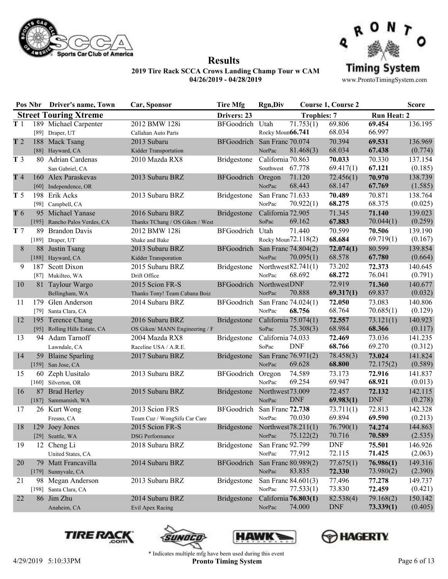



**Results**

www.ProntoTimingSystem.com

|                | Pos Nbr | <b>Driver's name, Town</b>    | Car, Sponsor                    | <b>Tire Mfg</b>         | <b>Rgn,Div</b>    |                       | <b>Course 1, Course 2</b> |                    | <b>Score</b> |
|----------------|---------|-------------------------------|---------------------------------|-------------------------|-------------------|-----------------------|---------------------------|--------------------|--------------|
|                |         | <b>Street Touring Xtreme</b>  |                                 | Drivers: 23             |                   | <b>Trophies: 7</b>    |                           | <b>Run Heat: 2</b> |              |
| T <sub>1</sub> |         | 189 Michael Carpenter         | 2012 BMW 128i                   | <b>BFGoodrich</b>       | Utah              | 71.753(1)             | 69.806                    | 69.454             | 136.195      |
|                |         | [89] Draper, UT               | Callahan Auto Parts             |                         | Rocky Moun66.741  |                       | 68.034                    | 66.997             |              |
| T <sub>2</sub> | 188     | Mack Tsang                    | 2013 Subaru                     | BFGoodrich              | San Franc 70.074  |                       | 70.394                    | 69.531             | 136.969      |
|                |         | [88] Hayward, CA              | Kidder Transportation           |                         | NorPac            | 81.468(3)             | 68.034                    | 67.438             | (0.774)      |
| T <sub>3</sub> |         | 80 Adrian Cardenas            | 2010 Mazda RX8                  | Bridgestone             | California 70.863 |                       | 70.033                    | 70.330             | 137.154      |
|                |         | San Gabriel, CA               |                                 |                         | Southwest 67.778  |                       | 69.417(1)                 | 67.121             | (0.185)      |
| T4             |         | 160 Alex Paraskevas           | 2013 Subaru BRZ                 | <b>BFGoodrich</b>       | Oregon            | 71.120                | 72.456(1)                 | 70.970             | 138.739      |
|                |         | [60] Independence, OR         |                                 |                         | NorPac            | 68.443                | 68.147                    | 67.769             | (1.585)      |
| T <sub>5</sub> | 198     | Erik Acks                     | 2013 Subaru BRZ                 | <b>Bridgestone</b>      | San Franc 71.633  |                       | 70.489                    | 70.871             | 138.764      |
|                | [98]    | Campbell, CA                  |                                 |                         | NorPac            | 70.922(1)             | 68.275                    | 68.375             | (0.025)      |
| T 6            |         | 95 Michael Yanase             | 2016 Subaru BRZ                 | <b>Bridgestone</b>      | California 72.905 |                       | 71.345                    | 71.140             | 139.023      |
|                | [195]   | Rancho Palos Verdes, CA       | Thanks TChang / OS Giken / West |                         | SoPac             | 69.162                | 67.883                    | 70.044(1)          | (0.259)      |
| T <sub>7</sub> | 89.     | <b>Brandon Davis</b>          | 2012 BMW 128i                   | <b>BFGoodrich</b>       | Utah              | 71.440                | 70.599                    | 70.506             | 139.190      |
|                |         | [189] Draper, UT              | Shake and Bake                  |                         |                   | Rocky Moun72.118(2)   | 68.684                    | 69.719(1)          | (0.167)      |
| 8              | 88      | Justin Tsang                  | 2013 Subaru BRZ                 | BFGoodrich              |                   | San Franc 74.804(2)   | 72.074(1)                 | 80.599             | 139.854      |
|                | $[188]$ | Hayward, CA                   | Kidder Transporation            |                         | NorPac            | 70.095(1)             | 68.578                    | 67.780             | (0.664)      |
| 9              | 187     | Scott Dixon                   | 2015 Subaru BRZ                 | Bridgestone             |                   | Northwest $82.741(1)$ | 73.202                    | 72.373             | 140.645      |
|                |         | [87] Mukilteo, WA             | Drift Office                    |                         | NorPac            | 68.692                | 68.272                    | 76.041             | (0.791)      |
| 10             |         | 81 Taylour Wargo              | 2015 Scion FR-S                 | BFGoodrich NorthwestDNF |                   |                       | 72.919                    | 71.360             | 140.677      |
|                |         | Bellingham, WA                | Thanks Tony! Team Cabana Boiz   |                         | NorPac            | 70.888                | 69.317(1)                 | 69.837             | (0.032)      |
| 11             | 179     | Glen Anderson                 | 2014 Subaru BRZ                 | BFGoodrich              |                   | San Franc 74.024(1)   | 72.050                    | 73.083             | 140.806      |
|                | $[79]$  | Santa Clara, CA               |                                 |                         | NorPac            | 68.756                | 68.764                    | 70.685(1)          | (0.129)      |
| 12             |         | 195 Terence Chang             | 2016 Subaru BRZ                 | Bridgestone             |                   | California 75.074(1)  | 72.557                    | 73.121(1)          | 140.923      |
|                |         | [95] Rolling Hills Estate, CA | OS Giken/ MANN Engineering / F  |                         | SoPac             | 75.308(3)             | 68.984                    | 68.366             | (0.117)      |
| 13             |         | 94 Adam Tarnoff               | 2004 Mazda RX8                  | Bridgestone             | California 74.033 |                       | 72.469                    | 73.036             | 141.235      |
|                |         | Lawndale, CA                  | Raceline USA / A.R.E.           |                         | SoPac             | <b>DNF</b>            | 68.766                    | 69.270             | (0.312)      |
| 14             |         | 59 Blaine Sparling            | 2017 Subaru BRZ                 | Bridgestone             |                   | San Franc 76.971(2)   | 78.458(3)                 | 73.024             | 141.824      |
|                |         | [159] San Jose, CA            |                                 |                         | NorPac            | 69.628                | 68.800                    | 72.175(2)          | (0.589)      |
| 15             | 60      | Zeph Uusitalo                 | 2013 Subaru BRZ                 | BFGoodrich              | Oregon            | 74.589                | 73.173                    | 72.916             | 141.837      |
|                |         | [160] Silverton, OR           |                                 |                         | NorPac            | 69.254                | 69.947                    | 68.921             | (0.013)      |
| 16             |         | 87 Brad Herley                | 2015 Subaru BRZ                 | <b>Bridgestone</b>      | Northwest73.009   |                       | 72.457                    | 72.132             | 142.115      |
|                |         | [187] Sammamish, WA           |                                 |                         | NorPac            | <b>DNF</b>            | 69.983(1)                 | <b>DNF</b>         | (0.278)      |
| 17             |         | 26 Kurt Wong                  | 2013 Scion FRS                  | <b>BFGoodrich</b>       | San Franc 72.738  |                       | 73.711(1)                 | 72.813             | 142.328      |
|                |         | Fresno, CA                    | Team Cuz / WongSifu Car Care    |                         | NorPac            | 70.030                | 69.894                    | 69.590             | (0.213)      |
| 18             | 129     | Joey Jones                    | 2015 Scion FR-S                 | Bridgestone             |                   | Northwest78.211(1)    | 76.790(1)                 | 74.274             | 144.863      |
|                |         | [29] Seattle, WA              | <b>DSG</b> Performance          |                         | NorPac            | 75.122(2)             | 70.716                    | 70.589             | (2.535)      |
| 19             |         | 12 Cheng Li                   | 2018 Subaru BRZ                 | <b>Bridgestone</b>      | San Franc 92.799  |                       | <b>DNF</b>                | 75.501             | 146.926      |
|                |         | United States, CA             |                                 |                         | NorPac            | 77.912                | 72.115                    | 71.425             | (2.063)      |
| 20             |         | 79 Matt Francavilla           | 2014 Subaru BRZ                 | <b>BFGoodrich</b>       |                   | San Franc 80.989(2)   | 77.675(1)                 | 76.986(1)          | 149.316      |
|                |         | [179] Sunnyvale, CA           |                                 |                         | NorPac            | 83.835                | 72.330                    | 73.980(2)          | (2.390)      |
| 21             |         | 98 Megan Anderson             | 2013 Subaru BRZ                 | <b>Bridgestone</b>      |                   | San Franc 84.601(3)   | 77.496                    | 77.278             | 149.737      |
|                |         | [198] Santa Clara, CA         |                                 |                         | NorPac            | 77.533(1)             | 73.830                    | 72.459             | (0.421)      |
| 22             |         | 86 Jim Zhu                    | 2014 Subaru BRZ                 | <b>Bridgestone</b>      |                   | California 76.803(1)  | 82.538(4)                 | 79.168(2)          | 150.142      |
|                |         | Anaheim, CA                   | Evil Apex Racing                |                         | NorPac            | 74.000                | DNF                       | 73.339(1)          | (0.405)      |







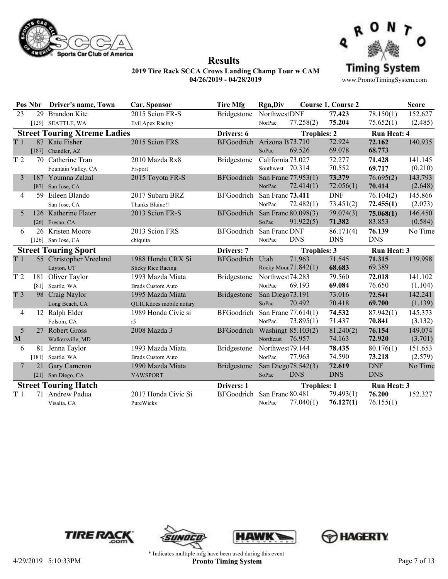



**Results**

|                | Pos Nbr | Driver's name, Town                 | Car, Sponsor              | <b>Tire Mfg</b>            | <b>Rgn,Div</b>    |                        | <b>Course 1, Course 2</b> |                    | <b>Score</b> |
|----------------|---------|-------------------------------------|---------------------------|----------------------------|-------------------|------------------------|---------------------------|--------------------|--------------|
| 23             |         | 29 Brandon Kite                     | 2015 Scion FR-S           | Bridgestone                | NorthwestDNF      |                        | 77.423                    | 78.150(1)          | 152.627      |
|                |         | [129] SEATTLE, WA                   | Evil Apex Racing          |                            | NorPac            | 77.258(2)              | 75.204                    | 75.652(1)          | (2.485)      |
|                |         | <b>Street Touring Xtreme Ladies</b> |                           | Drivers: 6                 |                   | <b>Trophies: 2</b>     |                           | <b>Run Heat: 4</b> |              |
| T <sub>1</sub> |         | 87 Kate Fisher                      | 2015 Scion FRS            | BFGoodrich Arizona B73.710 |                   |                        | 72.924                    | 72.162             | 140.935      |
|                |         | [187] Chandler, AZ                  |                           |                            | SoPac             | 69.526                 | 69.078                    | 68.773             |              |
| T <sub>2</sub> |         | 70 Catherine Tran                   | 2010 Mazda Rx8            | <b>Bridgestone</b>         | California 73.027 |                        | 72.277                    | 71.428             | 141.145      |
|                |         | Fountain Valley, CA                 | Frsport                   |                            | Southwest 70.314  |                        | 70.552                    | 69.717             | (0.210)      |
| 3              |         | 187 Youmna Zalzal                   | 2015 Toyota FR-S          | <b>BFGoodrich</b>          |                   | San Franc 77.953(1)    | 73.379                    | 76.695(2)          | 143.793      |
|                |         | [87] San Jose, CA                   |                           |                            | NorPac            | 72.414(1)              | 72.056(1)                 | 70.414             | (2.648)      |
| $\overline{4}$ |         | 59 Eileen Blando                    | 2017 Subaru BRZ           | <b>BFGoodrich</b>          | San Franc 73.411  |                        | <b>DNF</b>                | 76.104(2)          | 145.866      |
|                |         | San Jose, CA                        | Thanks Blaine!!           |                            | NorPac            | 72.482(1)              | 73.451(2)                 | 72.455(1)          | (2.073)      |
| 5              |         | 126 Katherine Flater                | 2013 Scion FR-S           | BFGoodrich                 |                   | San Franc 80.098(3)    | 79.074(3)                 | 75.068(1)          | 146.450      |
|                |         | [26] Fresno, CA                     |                           |                            | SoPac             | 91.922(5)              | 71.382                    | 83.853             | (0.584)      |
| 6              |         | 26 Kristen Moore                    | 2013 Scion FRS            | <b>BFGoodrich</b>          | San Franc DNF     |                        | 86.171(4)                 | 76.139             | No Time      |
|                |         | [ $126$ ] San Jose, CA              | chiquita                  |                            | NorPac            | <b>DNS</b>             | <b>DNS</b>                | <b>DNS</b>         |              |
|                |         | <b>Street Touring Sport</b>         |                           | Drivers: 7                 |                   | <b>Trophies: 3</b>     |                           | <b>Run Heat: 3</b> |              |
| T <sub>1</sub> |         | 55 Christopher Vreeland             | 1988 Honda CRX Si         | <b>BFGoodrich</b>          | Utah              | 71.963                 | 71.545                    | 71.315             | 139.998      |
|                |         | Layton, UT                          | <b>Sticky Rice Racing</b> |                            |                   | Rocky Moun $71.842(1)$ | 68.683                    | 69.389             |              |
| T <sub>2</sub> | 181     | Oliver Taylor                       | 1993 Mazda Miata          | Bridgestone                | Northwest74.283   |                        | 79.560                    | 72.018             | 141.102      |
|                |         | [81] Seattle, WA                    | <b>Brads Custom Auto</b>  |                            | NorPac            | 69.193                 | 69.084                    | 76.650             | (1.104)      |
| T <sub>3</sub> |         | 98 Craig Naylor                     | 1995 Mazda Miata          | <b>Bridgestone</b>         | San Diego73.191   |                        | 73.016                    | 72.541             | 142.241      |
|                |         | Long Beach, CA                      | QUICKdocs mobile notary   |                            | SoPac             | 70.492                 | 70.418                    | 69.700             | (1.139)      |
| 4              |         | 12 Ralph Elder                      | 1989 Honda Civic si       | <b>BFGoodrich</b>          |                   | San Franc 77.614(1)    | 74.532                    | 87.942(1)          | 145.373      |
|                |         | Folsom, CA                          | r5                        |                            | NorPac            | 73.895(1)              | 71.437                    | 70.841             | (3.132)      |
| 5              |         | 27 Robert Gross                     | 2008 Mazda 3              | BFGoodrich                 |                   | Washingt 85.103(2)     | 81.240(2)                 | 76.154             | 149.074      |
| M              |         | Walkersville, MD                    |                           |                            | Northeast         | 76.957                 | 74.163                    | 72.920             | (3.701)      |
| 6              |         | 81 Jenna Taylor                     | 1993 Mazda Miata          | Bridgestone                | Northwest79.144   |                        | 78.435                    | 80.176(1)          | 151.653      |
|                | $[181]$ | Seattle, WA                         | <b>Brads Custom Auto</b>  |                            | NorPac            | 77.963                 | 74.590                    | 73.218             | (2.579)      |
| 7              | 21      | Gary Cameron                        | 1990 Mazda Miata          | Bridgestone                |                   | San Diego 78.542(3)    | 72.619                    | <b>DNF</b>         | No Time      |
|                |         | [21] San Diego, CA                  | <b>YAWSPORT</b>           |                            | SoPac             | <b>DNS</b>             | <b>DNS</b>                | <b>DNS</b>         |              |
|                |         | <b>Street Touring Hatch</b>         |                           | Drivers: 1                 |                   | <b>Trophies: 1</b>     |                           | <b>Run Heat: 3</b> |              |
| T <sub>1</sub> | 71      | Andrew Padua                        | 2017 Honda Civic Si       | <b>BFGoodrich</b>          | San Franc 80.481  |                        | 79.493(1)                 | 76.200             | 152.327      |
|                |         | Visalia, CA                         | PureWicks                 |                            | NorPac            | 77.040(1)              | 76.127(1)                 | 76.155(1)          |              |
|                |         |                                     |                           |                            |                   |                        |                           |                    |              |







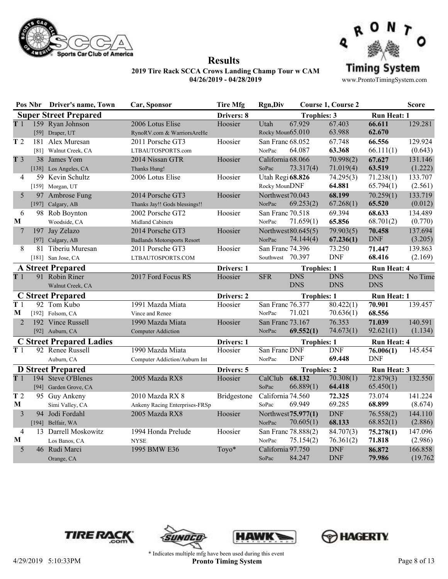



**Results**

www.ProntoTimingSystem.com

**Pos Nbr Driver's name, Town Car, Sponsor Tire Mfg Rgn,Div Course 1, Course 2 Score Super Street Prepared Drivers: 8 Drivers: 8 Trophies: 3 Run Heat: 1 T** 1 159 Ryan Johnson 2006 Lotus Elise **Hoosier** Utah 67.929 67.403 **66.611** 159 Ryan Johnson [59] Draper, UT RynoRV.com & WarriorsAreHe Rocky Moun65.010 67.929 67.403 **66.611** 129.281 65.010 63.988 **62.670** Hoosier **T** 2 181 Alex Muresan 2011 Porsche GT3 Hoosier San Franc 68.052 [81] Walnut Creek, CA LTBAUTOSPORTS.com  $\frac{\text{NorPac}}{64.087}$   $\frac{63.368}{63.368}$   $\frac{66.111(1)}{0.643}$ 68.052 67.748 **66.556** 129.924 64.087 **63.368** 66.111(1) Hoosier **T** 3 38 James Yom 2014 Nissan GTR Hoosier California 68.066 [138] Los Angeles, CA Thanks Hung! SoPac 73.317(4) 71.019(4) 63.519 (1.222) 68.066 70.998(2) **67.627** 131.146 73.317(4) 71.019(4) **63.519** Hoosier 4 59 Kevin Schultz 2006 Lotus Elise Hoosier Utah Regi 68.826 [159] Morgan, UT **Rocky Moun DNF**  $64.881$   $65.794(1)$   $(2.561)$ **68.826** 74.295(3) 71.238(1) 133.707 Rocky MounDNF **64.881** 65.794(1) Hoosier 5 97 Ambrose Fung 2014 Porsche GT3 Hoosier Northwest 70.043 [197] Calgary, AB Thanks Jay!! Gods blessings!! NorPac (0.012) 70.043 **68.199** 70.259(1) 133.719 69.253(2) 67.268(1) **65.520** Hoosier 6 98 Rob Boynton 2002 Porsche GT2 Hoosier San Franc 70.518 **M** Woodside, CA Midland Cabinets NorPac 71.659(1) 65.856 68.701(2) (0.770) 70.518 69.394 **68.633** 134.489 71.659(1) **65.856** 68.701(2) Hoosier 7 197 Jay Zelazo 2014 Porsche GT3 Hoosier Northwest 80.645(5) [97] Calgary, AB Badlands Motorsports Resort NorPac  $74.144(4)$   $67.236(1)$  DNF  $(3.205)$ 80.645(5) 79.903(5) **70.458** 137.694  $67.236(1)$ Hoosier 8 81 Tiberiu Muresan 2011 Porsche GT3 Hoosier San Franc 74.396 [181] San Jose, CA LTBAUTOSPORTS.COM Southwest (2.169) 74.396 73.250 **71.447** 139.863 68.416 Hoosier **A Street Prepared** <br> **Drivers: 1 Trophies: 1 Run Heat: 4**<br> **DRIP 1 Robin Riner** 2017 Ford Focus RS Hoosier SFR DNS DNS DNS DNS **T** 1 91 Robin Riner 2017 Ford Focus RS Walnut Creek, CA DNS DNS DNS No Time<br>DNS DNS DNS **DNS** Hoosier **C Street Prepared Drivers: 2 Trophies: 1 Run Heat: 1 T** 1 92 Tom Kubo 1991 Mazda Miata Hoosier San Franc 76.377 **M** [192] Folsom, CA Vince and Renee NorPac 76.377 80.422(1) **70.901** 139.457 71.021 70.636(1) **68.556** Hoosier 2 192 Vince Russell 1990 Mazda Miata Hoosier San Franc 73.167 [92] Auburn, CA Computer Addiction NorPac  $69.552(1)$   $74.673(1)$   $92.621(1)$   $(1.134)$ 73.167 76.353 **71.039** 140.591 **69.552(1)** Hoosier **C Street Prepared Ladies**<br>
T 1 92 Renee Russell 1990 Mazda Miata Hoosier San Franc DNF DNF 76.006(1) 145.454 1990 Mazda Miata Auburn, CA Computer Addiction/Auburn Int NorPac 76.006(1) DNF **69.448** DNF Hoosier **D Street Prepared**<br> **Drivers: 5 Trophies: 2 Run Heat: 3**<br> **Drivers: 5 CalClub 68.132 70.308(1) 72.879(3) 132.550 Prophies: 2 Prophies: 2 Prophies: 2 Prophies: 2 Prophies: 2 Prophies: 2 Prophies: T** 1 194 Steve O'Blenes 2005 Mazda RX8 Hoosier CalClub [94] Garden Grove, CA SoPac 70.308(1) 72.879(3) 66.889(1) **64.418** 65.450(1) Hoosier **T** 2 95 Guy Ankeny 2010 Mazda RX 8 Bridgestone California 74.560 **M** Simi Valley, CA Ankeny Racing Enterprises-FRSp SoPac 69.949 69.285 68.899 (8.674) 74.560 **72.325** 73.074 141.224 69.949 69.285 **68.899** Bridgestone 3 94 Jodi Fordahl 2005 Mazda RX8 Hoosier Northwest 75.977(1)  $[194]$  Belfair, WA  $\qquad \qquad \text{NorPac}$   $70.605(1)$   $68.133$   $68.852(1)$   $(2.886)$ **75.977(1)** DNF 76.558(2) 144.110 70.605(1) **68.133** 68.852(1) Hoosier 4 13 Darrell Moskowitz 1994 Honda Prelude Hoosier San Franc 78.888(2) **M** Los Banos, CA NYSE NorPac  $75.154(2)$   $76.361(2)$   $71.818$   $(2.986)$ 78.888(2) 84.707(3) **75.278(1)** 147.096 75.154(2) 76.361(2) **71.818** Hoosier 5 46 Rudi Marci 1995 BMW E36 Toyo\* California 97.750 Orange, CA  $S_0P_{ac}$   $S_4.247$   $DNF$   $79.986$   $(19.762)$ DNF **86.872** 166.858 84.247 DNF **79.986** Toyo\*







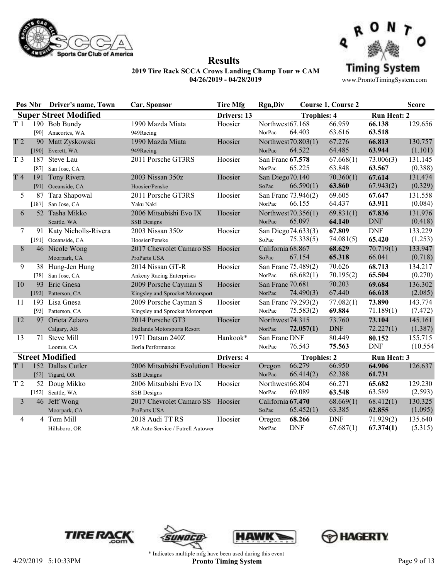



**Results**

|                | Pos Nbr | <b>Driver's name, Town</b>   | Car, Sponsor                        | <b>Tire Mfg</b> | <b>Rgn,Div</b>    |                     | <b>Course 1, Course 2</b> |                    | <b>Score</b> |
|----------------|---------|------------------------------|-------------------------------------|-----------------|-------------------|---------------------|---------------------------|--------------------|--------------|
|                |         | <b>Super Street Modified</b> |                                     | Drivers: 13     |                   | <b>Trophies: 4</b>  |                           | <b>Run Heat: 2</b> |              |
| T <sub>1</sub> |         | 190 Bob Bundy                | 1990 Mazda Miata                    | Hoosier         | Northwest67.168   |                     | 66.959                    | 66.138             | 129.656      |
|                |         | [90] Anacortes, WA           | 949Racing                           |                 | NorPac            | 64.403              | 63.616                    | 63.518             |              |
| T <sub>2</sub> |         | 90 Matt Zyskowski            | 1990 Mazda Miata                    | Hoosier         |                   | Northwest 70.803(1) | 67.276                    | 66.813             | 130.757      |
|                |         | [190] Everett, WA            | 949Racing                           |                 | NorPac            | 64.522              | 64.485                    | 63.944             | (1.101)      |
| T <sub>3</sub> | 187     | Steve Lau                    | 2011 Porsche GT3RS                  | Hoosier         | San Franc 67.578  |                     | 67.668(1)                 | 73.006(3)          | 131.145      |
|                |         | [87] San Jose, CA            |                                     |                 | NorPac            | 65.225              | 63.848                    | 63.567             | (0.388)      |
| T4             |         | 191 Tony Rivera              | 2003 Nissan 350z                    | Hoosier         | San Diego70.140   |                     | 70.360(1)                 | 67.614             | 131.474      |
|                |         | [91] Oceanside, CA           | Hoosier/Penske                      |                 | SoPac             | 66.590(1)           | 63.860                    | 67.943(2)          | (0.329)      |
| 5              | 87      | Tara Shapowal                | 2011 Porsche GT3RS                  | Hoosier         |                   | San Franc 73.946(2) | 69.605                    | 67.647             | 131.558      |
|                |         | [187] San Jose, CA           | Yaku Naki                           |                 | NorPac            | 66.155              | 64.437                    | 63.911             | (0.084)      |
| 6              |         | 52 Tasha Mikko               | 2006 Mitsubishi Evo IX              | Hoosier         |                   | Northwest 70.356(1) | 69.831(1)                 | 67.836             | 131.976      |
|                |         | Seattle, WA                  | <b>SSB</b> Designs                  |                 | NorPac            | 65.097              | 64.140                    | <b>DNF</b>         | (0.418)      |
| 7              |         | 91 Katy Nicholls-Rivera      | 2003 Nissan 350z                    | Hoosier         |                   | San Diego74.633(3)  | 67.809                    | <b>DNF</b>         | 133.229      |
|                |         | [191] Oceanside, CA          | Hoosier/Penske                      |                 | SoPac             | 75.338(5)           | 74.081(5)                 | 65.420             | (1.253)      |
| 8              |         | 46 Nicole Wong               | 2017 Chevrolet Camaro SS Hoosier    |                 | California 68.867 |                     | 68.629                    | 70.719(1)          | 133.947      |
|                |         | Moorpark, CA                 | ProParts USA                        |                 | SoPac             | 67.154              | 65.318                    | 66.041             | (0.718)      |
| 9              |         | 38 Hung-Jen Hung             | 2014 Nissan GT-R                    | Hoosier         |                   | San Franc 75.489(2) | 70.626                    | 68.713             | 134.217      |
|                |         | [38] San Jose, CA            | Ankeny Racing Enterprises           |                 | NorPac            | 68.682(1)           | 70.195(2)                 | 65.504             | (0.270)      |
| 10             |         | 93 Eric Gnesa                | 2009 Porsche Cayman S               | Hoosier         | San Franc 70.681  |                     | 70.203                    | 69.684             | 136.302      |
|                |         | [193] Patterson, CA          | Kingsley and Sprocket Motorsport    |                 | NorPac            | 74.490(3)           | 67.440                    | 66.618             | (2.085)      |
| 11             |         | 193 Lisa Gnesa               | 2009 Porsche Cayman S               | Hoosier         |                   | San Franc 79.293(2) | 77.082(1)                 | 73.890             | 143.774      |
|                |         | [93] Patterson, CA           | Kingsley and Sprocket Motorsport    |                 | NorPac            | 75.583(2)           | 69.884                    | 71.189(1)          | (7.472)      |
| 12             |         | 97 Orieta Zelazo             | 2014 Porsche GT3                    | Hoosier         | Northwest74.315   |                     | 73.760                    | 73.104             | 145.161      |
|                |         | Calgary, AB                  | <b>Badlands Motorsports Resort</b>  |                 | NorPac            | 72.057(1)           | <b>DNF</b>                | 72.227(1)          | (1.387)      |
| 13             |         | 71 Steve Mill                | 1971 Datsun 240Z                    | Hankook*        | San Franc DNF     |                     | 80.449                    | 80.152             | 155.715      |
|                |         | Loomis, CA                   | <b>Borla Performance</b>            |                 | NorPac            | 76.543              | 75.563                    | <b>DNF</b>         | (10.554)     |
|                |         | <b>Street Modified</b>       |                                     | Drivers: 4      |                   | <b>Trophies: 2</b>  |                           | <b>Run Heat: 3</b> |              |
| T <sub>1</sub> |         | 152 Dallas Cutler            | 2006 Mitsubishi Evolution I Hoosier |                 | Oregon            | 66.279              | 66.950                    | 64.906             | 126.637      |
|                |         | [52] Tigard, OR              | <b>SSB</b> Designs                  |                 | NorPac            | 66.414(2)           | 62.388                    | 61.731             |              |
| T <sub>2</sub> |         | 52 Doug Mikko                | 2006 Mitsubishi Evo IX              | Hoosier         | Northwest66.804   |                     | 66.271                    | 65.682             | 129.230      |
|                |         | [152] Seattle, WA            | SSB Designs                         |                 | NorPac            | 69.089              | 63.548                    | 63.589             | (2.593)      |
| 3              |         | 46 Jeff Wong                 | 2017 Chevrolet Camaro SS Hoosier    |                 | California 67.470 |                     | 68.669(1)                 | 68.412(1)          | 130.325      |
|                |         | Moorpark, CA                 | ProParts USA                        |                 | SoPac             | 65.452(1)           | 63.385                    | 62.855             | (1.095)      |
| $\overline{4}$ | 4       | Tom Mill                     | 2018 Audi TT RS                     | Hoosier         | Oregon            | 68.266              | <b>DNF</b>                | 71.929(2)          | 135.640      |
|                |         | Hillsboro, OR                | AR Auto Service / Futrell Autower   |                 | NorPac            | <b>DNF</b>          | 67.687(1)                 | 67.374(1)          | (5.315)      |







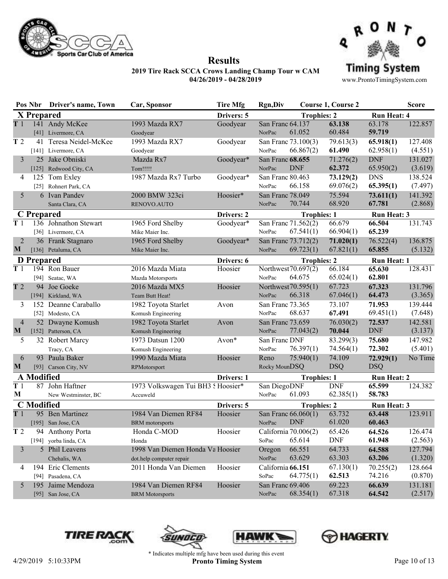



**Results**

www.ProntoTimingSystem.com

|                |                   | Pos Nbr Driver's name, Town | Car, Sponsor                      | <b>Tire Mfg</b> | <b>Rgn,Div</b>      |                      | <b>Course 1, Course 2</b> |                    | <b>Score</b> |
|----------------|-------------------|-----------------------------|-----------------------------------|-----------------|---------------------|----------------------|---------------------------|--------------------|--------------|
|                | X Prepared        |                             |                                   | Drivers: 5      |                     | <b>Trophies: 2</b>   |                           | <b>Run Heat: 4</b> |              |
| T1             |                   | 141 Andy McKee              | 1993 Mazda RX7                    | Goodyear        | San Franc 64.137    |                      | 63.138                    | 63.178             | 122.857      |
|                |                   | [41] Livermore, CA          | Goodyear                          |                 | NorPac              | 61.052               | 60.484                    | 59.719             |              |
| T2             | 41                | Teresa Neidel-McKee         | 1993 Mazda RX7                    | Goodyear        |                     | San Franc 73.100(3)  | 79.613(3)                 | 65.918(1)          | 127.408      |
|                |                   | [141] Livermore, CA         | Goodyear                          |                 | NorPac              | 66.867(2)            | 61.490                    | 62.958(1)          | (4.551)      |
| 3              |                   | 25 Jake Obniski             | Mazda Rx7                         | Goodyear*       | San Franc 68.655    |                      | 71.276(2)                 | <b>DNF</b>         | 131.027      |
|                |                   | [125] Redwood City, CA      | Tom!!!!!                          |                 | NorPac              | <b>DNF</b>           | 62.372                    | 65.950(2)          | (3.619)      |
| 4              |                   | 125 Tom Exley               | 1987 Mazda Rx7 Turbo              | Goodyear*       | San Franc 80.463    |                      | 73.129(2)                 | <b>DNS</b>         | 138.524      |
|                |                   | [25] Rohnert Park, CA       |                                   |                 | NorPac              | 66.158               | 69.076(2)                 | 65.395(1)          | (7.497)      |
| 5              |                   | 6 Ivan Pandev               | 2000 BMW 323ci                    | Hoosier*        | San Franc 78.049    |                      | 75.594                    | 73.611(1)          | 141.392      |
|                |                   | Santa Clara, CA             | RENOVO.AUTO                       |                 | NorPac              | 70.744               | 68.920                    | 67.781             | (2.868)      |
|                | C Prepared        |                             |                                   | Drivers: 2      |                     | <b>Trophies: 1</b>   |                           | <b>Run Heat: 3</b> |              |
| T1             |                   | 136 Johnathon Stewart       | 1965 Ford Shelby                  | Goodyear*       |                     | San Franc 71.562(2)  | 66.679                    | 66.504             | 131.743      |
|                |                   | [36] Livermore, CA          | Mike Maier Inc.                   |                 | NorPac              | 67.541(1)            | 66.904(1)                 | 65.239             |              |
| $\overline{2}$ |                   | 36 Frank Stagnaro           | 1965 Ford Shelby                  | Goodyear*       |                     | San Franc 73.712(2)  | 71.020(1)                 | 76.522(4)          | 136.875      |
| M              |                   | [136] Petaluma, CA          | Mike Maier Inc.                   |                 | NorPac              | 69.723(1)            | 67.821(1)                 | 65.855             | (5.132)      |
|                | <b>D</b> Prepared |                             |                                   | Drivers: 6      |                     | <b>Trophies: 2</b>   |                           | <b>Run Heat: 1</b> |              |
| T1             |                   | 194 Ron Bauer               | 2016 Mazda Miata                  | Hoosier         | Northwest 70.697(2) |                      | 66.184                    | 65.630             | 128.431      |
|                |                   | [94] Seatac, WA             | Mazda Motorsports                 |                 | NorPac              | 64.675               | 65.024(1)                 | 62.801             |              |
| T <sub>2</sub> |                   | 94 Joe Goeke                | 2016 Mazda MX5                    | Hoosier         |                     | Northwest 70.595(1)  | 67.723                    | 67.323             | 131.796      |
|                |                   | [194] Kirkland, WA          | Team Butt Heat!                   |                 | NorPac              | 66.318               | 67.046(1)                 | 64.473             | (3.365)      |
| 3              |                   | 152 Deanne Caraballo        | 1982 Toyota Starlet               | Avon            | San Franc 73.365    |                      | 73.107                    | 71.953             | 139.444      |
|                |                   | [52] Modesto, CA            | Komush Engineering                |                 | NorPac              | 68.637               | 67.491                    | 69.451(1)          | (7.648)      |
| $\overline{4}$ |                   | 52 Dwayne Komush            | 1982 Toyota Starlet               | Avon            | San Franc 73.659    |                      | 76.030(2)                 | 72.537             | 142.581      |
| $\mathbf{M}$   |                   | [152] Patterson, CA         | Komush Engineering                |                 | NorPac              | 77.043(2)            | 70.044                    | <b>DNF</b>         | (3.137)      |
| 5              |                   | 32 Robert Marcy             | 1973 Datsun 1200                  | Avon*           | San Franc DNF       |                      | 83.299(3)                 | 75.680             | 147.982      |
|                |                   | Tracy, CA                   | Komush Engineering                |                 | NorPac              | 76.397(1)            | 74.564(1)                 | 72.302             | (5.401)      |
| 6              |                   | 93 Paula Baker              | 1990 Mazda Miata                  | Hoosier         | Reno                | 75.940(1)            | 74.109                    | 72.929(1)          | No Time      |
| M              |                   | [93] Carson City, NV        | RPMotorsport                      |                 | Rocky MounDSQ       |                      | <b>DSQ</b>                | <b>DSQ</b>         |              |
|                | <b>A</b> Modified |                             |                                   | Drivers: 1      |                     | <b>Trophies: 1</b>   |                           | <b>Run Heat: 2</b> |              |
| T 1            |                   | 87 John Haftner             | 1973 Volkswagen Tui BH3 SHoosier* |                 | San DiegoDNF        |                      | <b>DNF</b>                | 65.599             | 124.382      |
| M              |                   | New Westminster, BC         | Accuweld                          |                 | NorPac              | 61.093               | 62.385(1)                 | 58.783             |              |
|                | <b>C</b> Modified |                             |                                   | Drivers: 5      |                     | <b>Trophies: 2</b>   |                           | <b>Run Heat: 3</b> |              |
| T1             |                   | 95 Ben Martinez             | 1984 Van Diemen RF84              | Hoosier         |                     | San Franc 66.060(1)  | 63.732                    | 63.448             | 123.911      |
|                |                   | [195] San Jose, CA          | <b>BRM</b> motorsports            |                 | NorPac              | <b>DNF</b>           | 61.020                    | 60.463             |              |
| T 2            |                   | 94 Anthony Porta            | Honda C-MOD                       | Hoosier         |                     | California 70.006(2) | 65.426                    | 64.526             | 126.474      |
|                |                   | [194] yorba linda, CA       | Honda                             |                 | SoPac               | 65.614               | <b>DNF</b>                | 61.948             | (2.563)      |
| 3              |                   | 5 Phil Leavens              | 1998 Van Diemen Honda Va Hoosier  |                 | Oregon              | 66.551               | 64.733                    | 64.588             | 127.794      |
|                |                   | Chehalis, WA                | dot.help computer repair          |                 | NorPac              | 63.629               | 63.303                    | 63.206             | (1.320)      |
| 4              |                   | 194 Eric Clements           | 2011 Honda Van Diemen             | Hoosier         | California 66.151   |                      | 67.130(1)                 | 70.255(2)          | 128.664      |
|                |                   | [94] Pasadena, CA           |                                   |                 | SoPac               | 64.775(1)            | 62.513                    | 74.216             | (0.870)      |
| 5              |                   | 195 Jaime Mendoza           | 1984 Van Diemen RF84              | Hoosier         | San Franc 69.406    |                      | 69.223                    | 66.639             | 131.181      |
|                |                   | [95] San Jose, CA           | <b>BRM</b> Motorsports            |                 | NorPac              | 68.354(1)            | 67.318                    | 64.542             | (2.517)      |







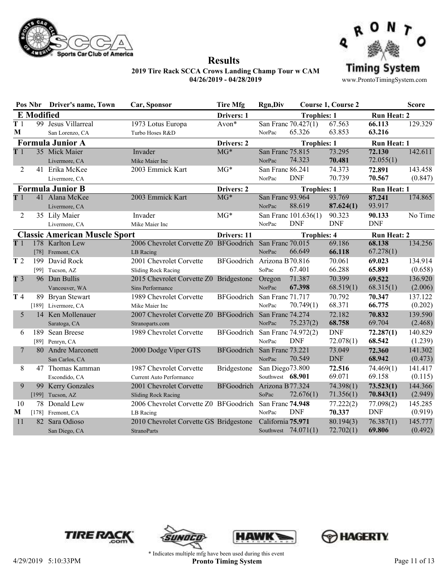



|                |                   | Pos Nbr Driver's name, Town          | Car, Sponsor                                           | <b>Tire Mfg</b>            | <b>Rgn,Div</b>      |                       | <b>Course 1, Course 2</b> |                    | <b>Score</b> |
|----------------|-------------------|--------------------------------------|--------------------------------------------------------|----------------------------|---------------------|-----------------------|---------------------------|--------------------|--------------|
|                | <b>E</b> Modified |                                      |                                                        | Drivers: 1                 |                     | <b>Trophies: 1</b>    |                           | <b>Run Heat: 2</b> |              |
| T <sub>1</sub> |                   | 99 Jesus Villarreal                  | 1973 Lotus Europa                                      | Avon*                      |                     | San Franc 70.427(1)   | 67.563                    | 66.113             | 129.329      |
| M              |                   | San Lorenzo, CA                      | Turbo Hoses R&D                                        |                            | NorPac              | 65.326                | 63.853                    | 63.216             |              |
|                |                   | <b>Formula Junior A</b>              |                                                        | Drivers: 2                 |                     | <b>Trophies: 1</b>    |                           | <b>Run Heat: 1</b> |              |
| T <sub>1</sub> |                   | 35 Mick Maier                        | Invader                                                | $MG*$                      | San Franc 75.815    |                       | 73.295                    | 72.130             | 142.611      |
|                |                   | Livermore, CA                        | Mike Maier Inc                                         |                            | NorPac              | 74.323                | 70.481                    | 72.055(1)          |              |
| 2              |                   | 41 Erika McKee                       | 2003 Emmick Kart                                       | $MG*$                      | San Franc 86.241    |                       | 74.373                    | 72.891             | 143.458      |
|                |                   | Livermore, CA                        |                                                        |                            | NorPac              | <b>DNF</b>            | 70.739                    | 70.567             | (0.847)      |
|                |                   | <b>Formula Junior B</b>              |                                                        | Drivers: 2                 |                     | <b>Trophies: 1</b>    |                           | <b>Run Heat: 1</b> |              |
| T1             |                   | 41 Alana McKee                       | 2003 Emmick Kart                                       | $MG*$                      | San Franc 93.964    |                       | 93.769                    | 87.241             | 174.865      |
|                |                   | Livermore, CA                        |                                                        |                            | NorPac              | 88.619                | 87.624(1)                 | 93.917             |              |
| 2              |                   | 35 Lily Maier                        | Invader                                                | $MG*$                      |                     | San Franc 101.636(1)  | 90.323                    | 90.133             | No Time      |
|                |                   | Livermore, CA                        | Mike Maier Inc                                         |                            | NorPac              | <b>DNF</b>            | <b>DNF</b>                | <b>DNF</b>         |              |
|                |                   | <b>Classic American Muscle Sport</b> |                                                        | Drivers: 11                |                     | <b>Trophies: 4</b>    |                           | <b>Run Heat: 2</b> |              |
| T <sub>1</sub> |                   | 178 Karlton Lew                      | 2006 Chevrolet Corvette Z0 BFGoodrich San Franc 70.015 |                            |                     |                       | 69.186                    | 68.138             | 134.256      |
|                |                   | [78] Fremont, CA                     | LB Racing                                              |                            | NorPac              | 66.649                | 66.118                    | 67.278(1)          |              |
| T <sub>2</sub> |                   | 199 David Rock                       | 2001 Chevrolet Corvette                                | BFGoodrich Arizona B70.816 |                     |                       | 70.061                    | 69.023             | 134.914      |
|                |                   | [99] Tucson, AZ                      | Sliding Rock Racing                                    |                            | SoPac               | 67.401                | 66.288                    | 65.891             | (0.658)      |
| T <sub>3</sub> |                   | 96 Dan Bullis                        | 2015 Chevrolet Corvette Z0 Bridgestone                 |                            | Oregon              | 71.387                | 70.399                    | 69.522             | 136.920      |
|                |                   | Vancouver, WA                        | Sins Performance                                       |                            | NorPac              | 67.398                | 68.519(1)                 | 68.315(1)          | (2.006)      |
| T 4            |                   | 89 Bryan Stewart                     | 1989 Chevrolet Corvette                                | BFGoodrich                 | San Franc 71.717    |                       | 70.792                    | 70.347             | 137.122      |
|                |                   | [189] Livermore, CA                  | Mike Maier Inc                                         |                            | NorPac              | 70.749(1)             | 68.371                    | 66.775             | (0.202)      |
| 5              |                   | 14 Ken Mollenauer                    | 2007 Chevrolet Corvette Z0 BFGoodrich San Franc 74.274 |                            |                     |                       | 72.182                    | 70.832             | 139.590      |
|                |                   | Saratoga, CA                         | Stranoparts.com                                        |                            | NorPac              | 75.237(2)             | 68.758                    | 69.704             | (2.468)      |
| 6              |                   | 189 Sean Breese                      | 1989 Chevrolet Corvette                                | BFGoodrich                 | San Franc 74.972(2) |                       | <b>DNF</b>                | 72.287(1)          | 140.829      |
|                |                   | [89] Penryn, CA                      |                                                        |                            | NorPac              | <b>DNF</b>            | 72.078(1)                 | 68.542             | (1.239)      |
| 7              |                   | 80 Andre Marconett                   | 2000 Dodge Viper GTS                                   | BFGoodrich                 | San Franc 73.221    |                       | 73.049                    | 72.360             | 141.302      |
|                |                   | San Carlos, CA                       |                                                        |                            | NorPac              | 70.549                | <b>DNF</b>                | 68.942             | (0.473)      |
| 8              |                   | 47 Thomas Kamman                     | 1987 Chevrolet Corvette                                | Bridgestone                | San Diego73.800     |                       | 72.516                    | 74.469(1)          | 141.417      |
|                |                   | Escondido, CA                        | <b>Current Auto Performance</b>                        |                            | Southwest 68.901    |                       | 69.071                    | 69.158             | (0.115)      |
| 9              |                   | 99 Kerry Gonzales                    | 2001 Chevrolet Corvette                                | BFGoodrich Arizona B77.324 |                     |                       | 74.398(1)                 | 73.523(1)          | 144.366      |
|                |                   | [199] Tucson, $AZ$                   | <b>Sliding Rock Racing</b>                             |                            | SoPac               | 72.676(1)             | 71.356(1)                 | 70.843(1)          | (2.949)      |
| 10             |                   | 78 Donald Lew                        | 2006 Chevrolet Corvette Z0 BFGoodrich                  |                            | San Franc 74.948    |                       | 77.222(2)                 | 77.098(2)          | 145.285      |
| M              |                   | [178] Fremont, CA                    | LB Racing                                              |                            | NorPac              | <b>DNF</b>            | 70.337                    | <b>DNF</b>         | (0.919)      |
| 11             |                   | 82 Sara Odioso                       | 2010 Chevrolet Corvette GS Bridgestone                 |                            | California 75.971   |                       | 80.194(3)                 | 76.387(1)          | 145.777      |
|                |                   | San Diego, CA                        | <b>StranoParts</b>                                     |                            |                     | Southwest $74.071(1)$ | 72.702(1)                 | 69.806             | (0.492)      |







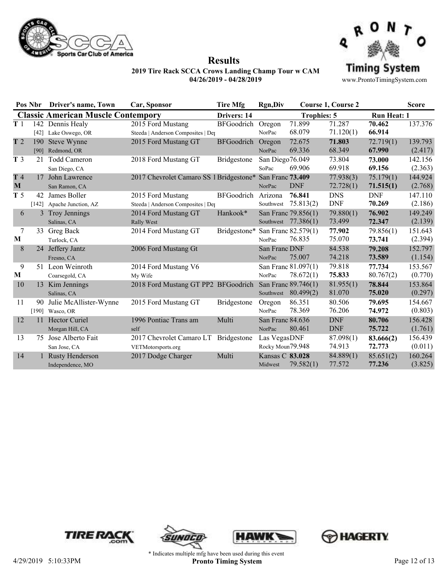



**Results**

|                |     | Pos Nbr Driver's name, Town                | Car, Sponsor                                             | <b>Tire Mfg</b>    | <b>Rgn,Div</b>                   |                                              | <b>Course 1, Course 2</b> |                        | <b>Score</b>       |
|----------------|-----|--------------------------------------------|----------------------------------------------------------|--------------------|----------------------------------|----------------------------------------------|---------------------------|------------------------|--------------------|
|                |     | <b>Classic American Muscle Contempory</b>  |                                                          | Drivers: 14        |                                  | <b>Trophies: 5</b>                           |                           | <b>Run Heat: 1</b>     |                    |
| T <sub>1</sub> |     | 142 Dennis Healy<br>[42] Lake Oswego, OR   | 2015 Ford Mustang<br>Steeda   Anderson Composites   Dep  | <b>BFGoodrich</b>  | Oregon<br>NorPac                 | 71.899<br>68.079                             | 71.287<br>71.120(1)       | 70.462<br>66.914       | 137.376            |
| T <sub>2</sub> | 190 | Steve Wynne<br>[90] Redmond, OR            | 2015 Ford Mustang GT                                     | <b>BFGoodrich</b>  | Oregon<br>NorPac                 | 72.675<br>69.336                             | 71.803<br>68.349          | 72.719(1)<br>67.990    | 139.793<br>(2.417) |
| T <sub>3</sub> | 21  | <b>Todd Cameron</b><br>San Diego, CA       | 2018 Ford Mustang GT                                     | <b>Bridgestone</b> | San Diego76.049<br>SoPac         | 69.906                                       | 73.804<br>69.918          | 73.000<br>69.156       | 142.156<br>(2.363) |
| T4<br>M        |     | 17 John Lawrence<br>San Ramon, CA          | 2017 Chevrolet Camaro SS 1 Bridgestone* San Franc 73.409 |                    | NorPac                           | <b>DNF</b>                                   | 77.938(3)<br>72.728(1)    | 75.179(1)<br>71.515(1) | 144.924<br>(2.768) |
| T <sub>5</sub> | 42  | James Boller<br>[142] Apache Junction, AZ  | 2015 Ford Mustang<br>Steeda   Anderson Composites   Det  | <b>BFGoodrich</b>  | Arizona<br>Southwest             | 76.841<br>75.813(2)                          | <b>DNS</b><br><b>DNF</b>  | <b>DNF</b><br>70.269   | 147.110<br>(2.186) |
| 6              |     | 3 Troy Jennings<br>Salinas, CA             | 2014 Ford Mustang GT<br>Rally West                       | Hankook*           |                                  | San Franc 79.856(1)<br>Southwest $77.386(1)$ | 79.880(1)<br>73.499       | 76.902<br>72.347       | 149.249<br>(2.139) |
| 7<br>M         |     | 33 Greg Back<br>Turlock, CA                | 2014 Ford Mustang GT                                     | Bridgestone*       | NorPac                           | San Franc 82.579(1)<br>76.835                | 77.902<br>75.070          | 79.856(1)<br>73.741    | 151.643<br>(2.394) |
| 8              |     | 24 Jeffery Jantz<br>Fresno, CA             | 2006 Ford Mustang Gt                                     |                    | San Franc DNF<br>NorPac          | 75.007                                       | 84.538<br>74.218          | 79.208<br>73.589       | 152.797<br>(1.154) |
| 9<br>M         |     | 51 Leon Weinroth<br>Coarsegold, CA         | 2014 Ford Mustang V6<br>My Wife                          |                    | NorPac                           | San Franc 81.097(1)<br>78.672(1)             | 79.818<br>75.833          | 77.734<br>80.767(2)    | 153.567<br>(0.770) |
| 10             |     | 13 Kim Jennings<br>Salinas, CA             | 2018 Ford Mustang GT PP2 BFGoodrich                      |                    |                                  | San Franc 89.746(1)<br>Southwest 80.499(2)   | 81.955(1)<br>81.070       | 78.844<br>75.020       | 153.864<br>(0.297) |
| 11             | 90  | Julie McAllister-Wynne<br>[190] Wasco, OR  | 2015 Ford Mustang GT                                     | Bridgestone        | Oregon<br>NorPac                 | 86.351<br>78.369                             | 80.506<br>76.206          | 79.695<br>74.972       | 154.667<br>(0.803) |
| 12             |     | 11 Hector Curiel<br>Morgan Hill, CA        | 1996 Pontiac Trans am<br>self                            | Multi              | San Franc 84.636<br>NorPac       | 80.461                                       | <b>DNF</b><br><b>DNF</b>  | 80.706<br>75.722       | 156.428<br>(1.761) |
| 13             | 75  | Jose Alberto Fait<br>San Jose, CA          | 2017 Chevrolet Camaro LT<br>VETMotorsports.org           | Bridgestone        | Las VegasDNF<br>Rocky Moun79.948 |                                              | 87.098(1)<br>74.913       | 83.666(2)<br>72.773    | 156.439<br>(0.011) |
| 14             |     | <b>Rusty Henderson</b><br>Independence, MO | 2017 Dodge Charger                                       | Multi              | Kansas C 83.028<br>Midwest       | 79.582(1)                                    | 84.889(1)<br>77.572       | 85.651(2)<br>77.236    | 160.264<br>(3.825) |